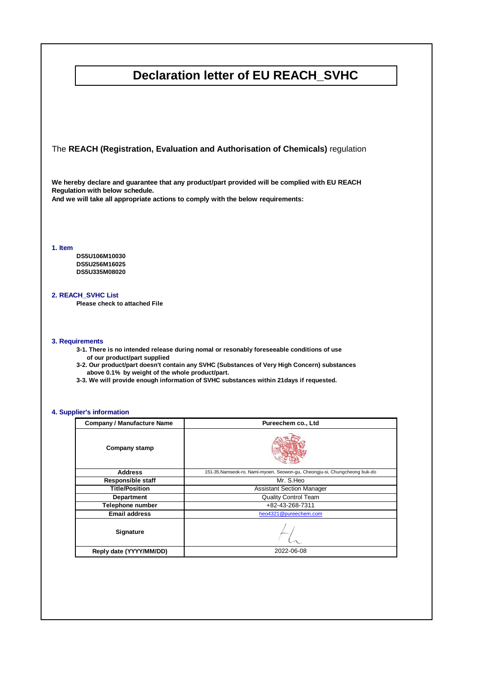### **Declaration letter of EU REACH\_SVHC**

The **REACH (Registration, Evaluation and Authorisation of Chemicals)** regulation

**We hereby declare and guarantee that any product/part provided will be complied with EU REACH Regulation with below schedule.** 

**And we will take all appropriate actions to comply with the below requirements:**

**1. Item**

**DS5U106M10030 DS5U256M16025 DS5U335M08020**

#### **2. REACH\_SVHC List**

**Please check to attached File**

#### **3. Requirements**

- **3-1. There is no intended release during nomal or resonably foreseeable conditions of use of our product/part supplied**
- **3-2. Our product/part doesn't contain any SVHC (Substances of Very High Concern) substances above 0.1% by weight of the whole product/part.**
- **3-3. We will provide enough information of SVHC substances within 21days if requested.**

#### **4. Supplier's information**

| <b>Company / Manufacture Name</b> | Pureechem co., Ltd                                                         |
|-----------------------------------|----------------------------------------------------------------------------|
| <b>Company stamp</b>              |                                                                            |
| <b>Address</b>                    | 151-35, Namseok-ro, Nami-myoen, Seowon-gu, Cheongju-si, Chungcheong buk-do |
| <b>Responsible staff</b>          | Mr. S.Heo                                                                  |
| <b>Title/Position</b>             | <b>Assistant Section Manager</b>                                           |
| <b>Department</b>                 | <b>Quality Control Team</b>                                                |
| Telephone number                  | +82-43-268-7311                                                            |
| <b>Email address</b>              | heo4321@pureechem.com                                                      |
| <b>Signature</b>                  |                                                                            |
| Reply date (YYYY/MM/DD)           | 2022-06-08                                                                 |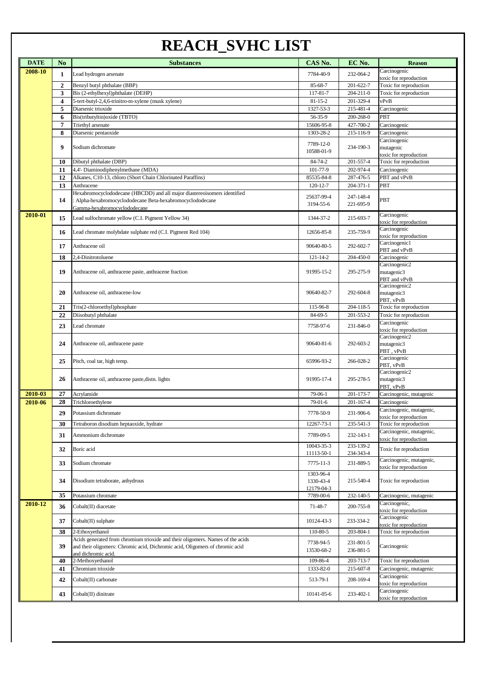# **REACH\_SVHC LIST**

| <b>DATE</b> | N <sub>0</sub> | <b>Substances</b>                                                                                   | CAS No.        | EC No.          | <b>Reason</b>                            |
|-------------|----------------|-----------------------------------------------------------------------------------------------------|----------------|-----------------|------------------------------------------|
| 2008-10     |                |                                                                                                     |                |                 | Carcinogenic                             |
|             | 1              | Lead hydrogen arsenate                                                                              | 7784-40-9      | 232-064-2       | toxic for reproduction                   |
|             | $\overline{2}$ | Benzyl butyl phthalate (BBP)                                                                        | 85-68-7        | 201-622-7       | Toxic for reproduction                   |
|             | 3              | Bis (2-ethylhexyl)phthalate (DEHP)                                                                  | 117-81-7       | $204 - 211 - 0$ | Toxic for reproduction                   |
|             | 4              | 5-tert-butyl-2,4,6-trinitro-m-xylene (musk xylene)                                                  | $81 - 15 - 2$  | 201-329-4       | vPvB                                     |
|             | 5              | Diarsenic trioxide                                                                                  | 1327-53-3      | 215-481-4       | Carcinogenic                             |
|             | 6              | Bis(tributyltin) oxide (TBTO)                                                                       | 56-35-9        | 200-268-0       | PBT                                      |
|             | $\overline{7}$ | Triethyl arsenate                                                                                   | 15606-95-8     | 427-700-2       | Carcinogenic                             |
|             | 8              | Diarsenic pentaoxide                                                                                | 1303-28-2      | 215-116-9       | Carcinogenic                             |
|             | 9              | Sodium dichromate                                                                                   | 7789-12-0      | 234-190-3       | Carcinogenic<br>mutagenic                |
|             |                |                                                                                                     | 10588-01-9     |                 | toxic for reproduction                   |
|             | 10             | Dibutyl phthalate (DBP)                                                                             | 84-74-2        | 201-557-4       | Toxic for reproduction                   |
|             | 11             | 4,4'- Diaminodiphenylmethane (MDA)                                                                  | 101-77-9       | 202-974-4       | Carcinogenic                             |
|             | 12             | Alkanes, C10-13, chloro (Short Chain Chlorinated Paraffins)                                         | 85535-84-8     | 287-476-5       | PBT and vPvB                             |
|             | 13             | Anthracene                                                                                          | 120-12-7       | $204 - 371 - 1$ | PBT                                      |
|             |                | Hexabromocyclododecane (HBCDD) and all major diastereoisomers identified                            | 25637-99-4     | 247-148-4       |                                          |
|             | 14             | : Alpha-hexabromocyclododecane Beta-hexabromocyclododecane                                          | 3194-55-6      | 221-695-9       | PBT                                      |
| 2010-01     |                | Gamma-hexabromocyclododecane                                                                        |                |                 | Carcinogenic                             |
|             | 15             | Lead sulfochromate yellow (C.I. Pigment Yellow 34)                                                  | 1344-37-2      | 215-693-7       | toxic for reproduction                   |
|             |                |                                                                                                     | 12656-85-8     | 235-759-9       | Carcinogenic                             |
|             | 16             | Lead chromate molybdate sulphate red (C.I. Pigment Red 104)                                         |                |                 | toxic for reproduction                   |
|             | 17             | Anthracene oil                                                                                      | 90640-80-5     | 292-602-7       | Carcinogenic1                            |
|             | 18             | 2,4-Dinitrotoluene                                                                                  | $121 - 14 - 2$ | 204-450-0       | PBT and vPvB<br>Carcinogenic             |
|             |                |                                                                                                     |                |                 | Carcinogenic2                            |
|             | 19             | Anthracene oil, anthracene paste, anthracene fraction                                               | 91995-15-2     | 295-275-9       | mutagenic3                               |
|             |                |                                                                                                     |                |                 | PBT and vPvB                             |
|             |                |                                                                                                     |                |                 | Carcinogenic2                            |
|             | 20             | Anthracene oil, anthracene-low                                                                      | 90640-82-7     | 292-604-8       | mutagenic3                               |
|             | 21             | Tris(2-chloroethyl)phosphate                                                                        | 115-96-8       | 204-118-5       | PBT, vPvB<br>Toxic for reproduction      |
|             | 22             | Diisobutyl phthalate                                                                                | 84-69-5        | 201-553-2       | Toxic for reproduction                   |
|             |                |                                                                                                     |                |                 | Carcinogenic                             |
|             | 23             | Lead chromate                                                                                       | 7758-97-6      | 231-846-0       | toxic for reproduction                   |
|             |                |                                                                                                     |                |                 | Carcinogenic2                            |
|             | 24             | Anthracene oil, anthracene paste                                                                    | 90640-81-6     | 292-603-2       | mutagenic3                               |
|             |                |                                                                                                     |                |                 | PBT, vPvB<br>Carcinogenic                |
|             | 25             | Pitch, coal tar, high temp.                                                                         | 65996-93-2     | 266-028-2       | PBT, vPvB                                |
|             |                |                                                                                                     |                |                 | Carcinogenic2                            |
|             | 26             | Anthracene oil, anthracene paste, distn. lights                                                     | 91995-17-4     | 295-278-5       | mutagenic3                               |
|             |                |                                                                                                     |                |                 | PBT, vPvB                                |
| 2010-03     | 27             | Acrylamide                                                                                          | 79-06-1        | 201-173-7       | Carcinogenic, mutagenic                  |
| 2010-06     | 28             | Trichloroethylene                                                                                   | $79-01-6$      | $201 - 167 - 4$ | Carcinogenic<br>Carcinogenic, mutagenic, |
|             | 29             | Potassium dichromate                                                                                | 7778-50-9      | 231-906-6       | toxic for reproduction                   |
|             | 30             | Tetraboron disodium heptaoxide, hydrate                                                             | 12267-73-1     | 235-541-3       | Toxic for reproduction                   |
|             | 31             | Ammonium dichromate                                                                                 | 7789-09-5      | 232-143-1       | Carcinogenic, mutagenic,                 |
|             |                |                                                                                                     |                |                 | toxic for reproduction                   |
|             | 32             | Boric acid                                                                                          | 10043-35-3     | 233-139-2       | Toxic for reproduction                   |
|             |                |                                                                                                     | 11113-50-1     | 234-343-4       | Carcinogenic, mutagenic,                 |
|             | 33             | Sodium chromate                                                                                     | 7775-11-3      | 231-889-5       | toxic for reproduction                   |
|             |                |                                                                                                     | 1303-96-4      |                 |                                          |
|             | 34             | Disodium tetraborate, anhydrous                                                                     | 1330-43-4      | 215-540-4       | Toxic for reproduction                   |
|             |                |                                                                                                     | 12179-04-3     |                 |                                          |
|             | 35             | Potassium chromate                                                                                  | 7789-00-6      | 232-140-5       | Carcinogenic, mutagenic<br>Carcinogenic, |
| 2010-12     | 36             | Cobalt(II) diacetate                                                                                | 71-48-7        | 200-755-8       | toxic for reproduction                   |
|             |                |                                                                                                     |                | 233-334-2       | Carcinogenic                             |
|             | 37             | $Cobalt(II)$ sulphate                                                                               | 10124-43-3     |                 | toxic for reproduction                   |
|             | 38             | 2-Ethoxyethanol                                                                                     | 110-80-5       | 203-804-1       | Toxic for reproduction                   |
|             |                | Acids generated from chromium trioxide and their oligomers. Names of the acids                      | 7738-94-5      | 231-801-5       |                                          |
|             | 39             | and their oligomers: Chromic acid, Dichromic acid, Oligomers of chromic acid<br>and dichromic acid. | 13530-68-2     | 236-881-5       | Carcinogenic                             |
|             | 40             | 2-Methoxyethanol                                                                                    | 109-86-4       | 203-713-7       | Toxic for reproduction                   |
|             | 41             | Chromium trioxide                                                                                   | 1333-82-0      | 215-607-8       | Carcinogenic, mutagenic                  |
|             |                |                                                                                                     |                |                 | Carcinogenic                             |
|             | 42             | Cobalt(II) carbonate                                                                                | 513-79-1       | 208-169-4       | toxic for reproduction                   |
|             | 43             | $Cobalt(II)$ dinitrate                                                                              | 10141-05-6     | 233-402-1       | Carcinogenic                             |
|             |                |                                                                                                     |                |                 | toxic for reproduction                   |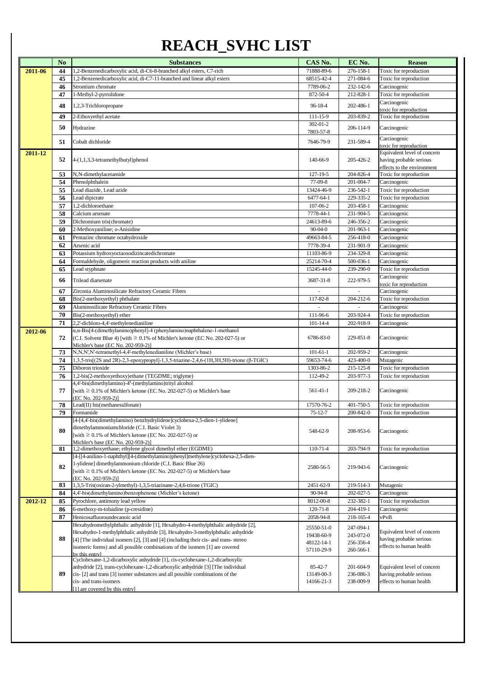# **REACH\_SVHC LIST**

|         | N <sub>o</sub> | <b>Substances</b>                                                                                                       | CAS No.        | EC No.    | <b>Reason</b>                          |
|---------|----------------|-------------------------------------------------------------------------------------------------------------------------|----------------|-----------|----------------------------------------|
| 2011-06 | 44             | 1,2-Benzenedicarboxylic acid, di-C6-8-branched alkyl esters, C7-rich                                                    | 71888-89-6     | 276-158-1 | Toxic for reproduction                 |
|         | 45             | 1,2-Benzenedicarboxylic acid, di-C7-11-branched and linear alkyl esters                                                 | 68515-42-4     | 271-084-6 | Toxic for reproduction                 |
|         | 46             | Strontium chromate                                                                                                      | 7789-06-2      | 232-142-6 | Carcinogenic                           |
|         | 47             | 1-Methyl-2-pyrrolidone                                                                                                  | 872-50-4       | 212-828-1 | Toxic for reproduction                 |
|         | 48             | 1,2,3-Trichloropropane                                                                                                  | 96-18-4        | 202-486-1 | Carcinogenic                           |
|         |                |                                                                                                                         |                |           | toxic for reproduction                 |
|         | 49             | 2-Ethoxyethyl acetate                                                                                                   | 111-15-9       | 203-839-2 | Toxic for reproduction                 |
|         | 50             | Hydrazine                                                                                                               | 302-01-2       | 206-114-9 | Carcinogenic                           |
|         |                |                                                                                                                         | 7803-57-8      |           |                                        |
|         | 51             | Cobalt dichloride                                                                                                       | 7646-79-9      | 231-589-4 | Carcinogenic<br>toxic for reproduction |
| 2011-12 |                |                                                                                                                         |                |           | Equivalent level of concern            |
|         | 52             | 4-(1,1,3,3-tetramethylbutyl)phenol                                                                                      | 140-66-9       | 205-426-2 | having probable serious                |
|         |                |                                                                                                                         |                |           | effects to the environment             |
|         | 53             | N,N-dimethylacetamide                                                                                                   | 127-19-5       | 204-826-4 | Toxic for reproduction                 |
|         | 54             | Phenolphthalein                                                                                                         | 77-09-8        | 201-004-7 | Carcinogenic                           |
|         | 55             | Lead diazide, Lead azide                                                                                                | 13424-46-9     | 236-542-1 | Toxic for reproduction                 |
|         | 56             | Lead dipicrate                                                                                                          | 6477-64-1      | 229-335-2 | Toxic for reproduction                 |
|         | 57             | 1,2-dichloroethane                                                                                                      | 107-06-2       | 203-458-1 | Carcinogenic                           |
|         | 58             | Calcium arsenate                                                                                                        | 7778-44-1      | 231-904-5 | Carcinogenic                           |
|         | 59             | Dichromium tris(chromate)                                                                                               | 24613-89-6     | 246-356-2 | Carcinogenic                           |
|         | 60             | 2-Methoxyaniline; o-Anisidine                                                                                           | $90 - 04 - 0$  | 201-963-1 | Carcinogenic                           |
|         | 61             | Pentazinc chromate octahydroxide                                                                                        | 49663-84-5     | 256-418-0 | Carcinogenic                           |
|         | 62             | Arsenic acid                                                                                                            | 7778-39-4      | 231-901-9 | Carcinogenic                           |
|         | 63             | Potassium hydroxyoctaoxodizincatedichromate                                                                             | 11103-86-9     | 234-329-8 | Carcinogenic                           |
|         | 64             | Formaldehyde, oligomeric reaction products with aniline                                                                 | 25214-70-4     | 500-036-1 | Carcinogenic                           |
|         | 65             | Lead styphnate                                                                                                          | 15245-44-0     | 239-290-0 | Toxic for reproduction                 |
|         | 66             | Trilead diarsenate                                                                                                      | 3687-31-8      | 222-979-5 | Carcinogenic                           |
|         |                |                                                                                                                         |                |           | toxic for reproduction                 |
|         | 67             | Zirconia Aluminosilicate Refractory Ceramic Fibres                                                                      | $\blacksquare$ | $\bar{a}$ | Carcinogenic                           |
|         | 68             | Bis(2-methoxyethyl) phthalate                                                                                           | 117-82-8       | 204-212-6 | Toxic for reproduction                 |
|         | 69             | Aluminosilicate Refractory Ceramic Fibres                                                                               |                |           | Carcinogenic                           |
|         | 70             | Bis(2-methoxyethyl) ether                                                                                               | 111-96-6       | 203-924-4 | Toxic for reproduction                 |
|         | 71             | 2,2'-dichloro-4,4'-methylenedianiline                                                                                   | $101 - 14 - 4$ | 202-918-9 | Carcinogenic                           |
| 2012-06 |                | $\alpha, \alpha$ -Bis[4-(dimethylamino)phenyl]-4 (phenylamino)naphthalene-1-methanol                                    |                |           |                                        |
|         | 72             | (C.I. Solvent Blue 4) [with $\geq$ 0.1% of Michler's ketone (EC No. 202-027-5) or<br>Michler's base (EC No. 202-959-2)] | 6786-83-0      | 229-851-8 | Carcinogenic                           |
|         | 73             | N,N,N',N'-tetramethyl-4,4'-methylenedianiline (Michler's base)                                                          | $101 - 61 - 1$ | 202-959-2 | Carcinogenic                           |
|         | 74             | 1,3,5-tris[(2S and 2R)-2,3-epoxypropyl]-1,3,5-triazine-2,4,6-(1H,3H,5H)-trione (β-TGIC)                                 | 59653-74-6     | 423-400-0 | Mutagenic                              |
|         | 75             | Diboron trioxide                                                                                                        | 1303-86-2      | 215-125-8 | Toxic for reproduction                 |
|         | 76             | 1,2-bis(2-methoxyethoxy)ethane (TEGDME; triglyme)                                                                       | 112-49-2       | 203-977-3 | Toxic for reproduction                 |
|         |                | 4,4'-bis(dimethylamino)-4"-(methylamino)trityl alcohol                                                                  |                |           |                                        |
|         | 77             | [with $\geq 0.1\%$ of Michler's ketone (EC No. 202-027-5) or Michler's base                                             | 561-41-1       | 209-218-2 | Carcinogenic                           |
|         |                | (EC No. 202-959-2)]                                                                                                     |                |           |                                        |
|         | 78             | Lead(II) bis(methanesulfonate)                                                                                          | 17570-76-2     | 401-750-5 | Toxic for reproduction                 |
|         | 79             | Formamide                                                                                                               | $75 - 12 - 7$  | 200-842-0 | Toxic for reproduction                 |
|         |                | [4-[4,4'-bis(dimethylamino) benzhydrylidene]cyclohexa-2,5-dien-1-ylidene]                                               |                |           |                                        |
|         | 80             | dimethylammoniumchloride (C.I. Basic Violet 3)                                                                          | 548-62-9       | 208-953-6 | Carcinogenic                           |
|         |                | [with $\geq 0.1\%$ of Michler's ketone (EC No. 202-027-5) or<br>Michler's base (EC No. 202-959-2)]                      |                |           |                                        |
|         | 81             | 1,2-dimethoxyethane; ethylene glycol dimethyl ether (EGDME)                                                             | 110-71-4       | 203-794-9 | Toxic for reproduction                 |
|         |                | [4-[[4-anilino-1-naphthyl][4-(dimethylamino)phenyl]methylene]cyclohexa-2,5-dien-                                        |                |           |                                        |
|         |                | 1-ylidene] dimethylammonium chloride (C.I. Basic Blue 26)                                                               |                |           |                                        |
|         | 82             | [with $\geq 0.1\%$ of Michler's ketone (EC No. 202-027-5) or Michler's base                                             | 2580-56-5      | 219-943-6 | Carcinogenic                           |
|         |                | (EC No. 202-959-2)]                                                                                                     |                |           |                                        |
|         | 83             | 1,3,5-Tris(oxiran-2-ylmethyl)-1,3,5-triazinane-2,4,6-trione (TGIC)                                                      | 2451-62-9      | 219-514-3 | Mutagenic                              |
|         | 84             | 4,4'-bis(dimethylamino)benzophenone (Michler's ketone)                                                                  | 90-94-8        | 202-027-5 | Carcinogenic                           |
| 2012-12 | 85             | Pyrochlore, antimony lead yellow                                                                                        | 8012-00-8      | 232-382-1 | Toxic for reproduction                 |
|         | 86             | 6-methoxy-m-toluidine (p-cresidine)                                                                                     | $120 - 71 - 8$ | 204-419-1 | Carcinogenic                           |
|         | 87             | Henicosafluoroundecanoic acid                                                                                           | 2058-94-8      | 218-165-4 | vPvB                                   |
|         |                | Hexahydromethylphthalic anhydride [1], Hexahydro-4-methylphthalic anhydride [2],                                        | 25550-51-0     | 247-094-1 |                                        |
|         |                | Hexahydro-1-methylphthalic anhydride [3], Hexahydro-3-methylphthalic anhydride                                          | 19438-60-9     | 243-072-0 | Equivalent level of concern            |
|         | 88             | [4] [The individual isomers [2], [3] and [4] (including their cis- and trans- stereo                                    | 48122-14-1     | 256-356-4 | having probable serious                |
|         |                | isomeric forms) and all possible combinations of the isomers [1] are covered<br>by this entryl                          | 57110-29-9     | 260-566-1 | effects to human health                |
|         |                | Cyclohexane-1,2-dicarboxylic anhydride [1], cis-cyclohexane-1,2-dicarboxylic                                            |                |           |                                        |
|         |                | anhydride [2], trans-cyclohexane-1,2-dicarboxylic anhydride [3] [The individual                                         | 85-42-7        | 201-604-9 | Equivalent level of concern            |
|         | 89             | cis- [2] and trans [3] isomer substances and all possible combinations of the                                           | 13149-00-3     | 236-086-3 | having probable serious                |
|         |                | cis- and trans-isomers                                                                                                  | 14166-21-3     | 238-009-9 | effects to human health                |
|         |                | [1] are covered by this entry]                                                                                          |                |           |                                        |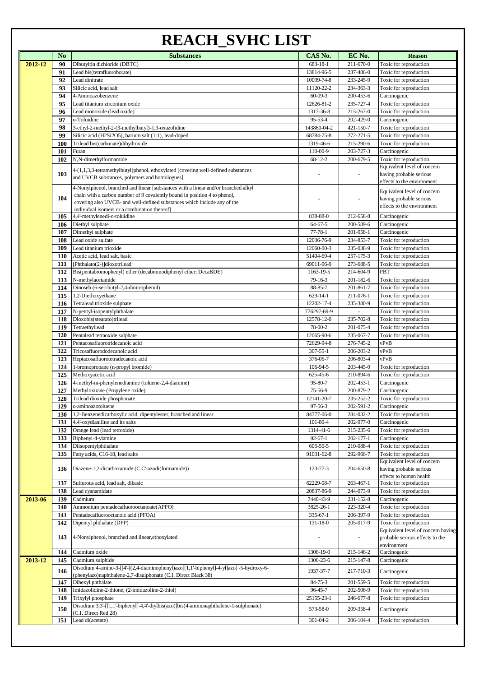### **REACH\_SVHC LIST**

|         | N <sub>0</sub> | <b>Substances</b>                                                                                                                                                                                                                                                                           | CAS No.                      | EC No.                 | <b>Reason</b>                                                                        |
|---------|----------------|---------------------------------------------------------------------------------------------------------------------------------------------------------------------------------------------------------------------------------------------------------------------------------------------|------------------------------|------------------------|--------------------------------------------------------------------------------------|
| 2012-12 | 90             | Dibutyltin dichloride (DBTC)                                                                                                                                                                                                                                                                | 683-18-1                     | 211-670-0              | Toxic for reproduction                                                               |
|         | 91             | Lead bis(tetrafluoroborate)                                                                                                                                                                                                                                                                 | 13814-96-5                   | 237-486-0              | Toxic for reproduction                                                               |
|         | 92             | Lead dinitrate                                                                                                                                                                                                                                                                              | 10099-74-8                   | 233-245-9              | Toxic for reproduction                                                               |
|         | 93             | Silicic acid, lead salt                                                                                                                                                                                                                                                                     | 11120-22-2                   | 234-363-3              | Toxic for reproduction                                                               |
|         | 94             | 4-Aminoazobenzene                                                                                                                                                                                                                                                                           | $60 - 09 - 3$                | 200-453-6              | Carcinogenic                                                                         |
|         | 95             | Lead titanium zirconium oxide                                                                                                                                                                                                                                                               | 12626-81-2                   | 235-727-4              | Toxic for reproduction                                                               |
|         | 96             | Lead monoxide (lead oxide)                                                                                                                                                                                                                                                                  | 1317-36-8                    | 215-267-0              | Toxic for reproduction                                                               |
|         | 97             | o-Toluidine                                                                                                                                                                                                                                                                                 | 95-53-4                      | 202-429-0              | Carcinogenic                                                                         |
|         | 98             | 3-ethyl-2-methyl-2-(3-methylbutyl)-1,3-oxazolidine                                                                                                                                                                                                                                          | 143860-04-2                  | 421-150-7              | Toxic for reproduction                                                               |
|         | 99             | Silicic acid (H2Si2O5), barium salt (1:1), lead-doped                                                                                                                                                                                                                                       | 68784-75-8                   | 272-271-5              | Toxic for reproduction                                                               |
|         | <b>100</b>     | Trilead bis(carbonate)dihydroxide                                                                                                                                                                                                                                                           | 1319-46-6                    | 215-290-6              | Toxic for reproduction                                                               |
|         | 101            | Furan                                                                                                                                                                                                                                                                                       | 110-00-9                     | 203-727-3              | Carcinogenic                                                                         |
|         | 102            | N,N-dimethylformamide                                                                                                                                                                                                                                                                       | $68 - 12 - 2$                | 200-679-5              | Toxic for reproduction<br>Equivalent level of concern                                |
|         | 103            | 4-(1,1,3,3-tetramethylbutyl)phenol, ethoxylated [covering well-defined substances<br>and UVCB substances, polymers and homologues]                                                                                                                                                          |                              |                        | having probable serious<br>effects to the environment                                |
|         | 104            | 4-Nonylphenol, branched and linear [substances with a linear and/or branched alkyl<br>chain with a carbon number of 9 covalently bound in position 4 to phenol,<br>covering also UVCB- and well-defined substances which include any of the<br>individual isomers or a combination thereof] |                              |                        | Equivalent level of concern<br>having probable serious<br>effects to the environment |
|         | 105            | 4,4'-methylenedi-o-toluidine                                                                                                                                                                                                                                                                | 838-88-0                     | 212-658-8              | Carcinogenic                                                                         |
|         | 106            | Diethyl sulphate                                                                                                                                                                                                                                                                            | $64 - 67 - 5$                | 200-589-6              | Carcinogenic                                                                         |
|         | 107            | Dimethyl sulphate                                                                                                                                                                                                                                                                           | $77 - 78 - 1$                | 201-058-1              | Carcinogenic                                                                         |
|         | 108            | Lead oxide sulfate                                                                                                                                                                                                                                                                          | 12036-76-9                   | 234-853-7              | Toxic for reproduction                                                               |
|         | 109            | Lead titanium trioxide                                                                                                                                                                                                                                                                      | 12060-00-3                   | 235-038-9              | Toxic for reproduction                                                               |
|         | <b>110</b>     | Acetic acid, lead salt, basic                                                                                                                                                                                                                                                               | 51404-69-4                   | 257-175-3              | Toxic for reproduction                                                               |
|         | 111            | [Phthalato(2-)]dioxotrilead                                                                                                                                                                                                                                                                 | 69011-06-9                   | 273-688-5              | Toxic for reproduction                                                               |
|         | 112            | Bis(pentabromophenyl) ether (decabromodiphenyl ether; DecaBDE)                                                                                                                                                                                                                              | 1163-19-5                    | 214-604-9              | PBT                                                                                  |
|         | 113            | N-methylacetamide                                                                                                                                                                                                                                                                           | 79-16-3                      | 201-182-6              | Toxic for reproduction                                                               |
|         | 114            | Dinoseb (6-sec-butyl-2,4-dinitrophenol)                                                                                                                                                                                                                                                     | 88-85-7                      | 201-861-7              | Toxic for reproduction                                                               |
|         | 115            | 1,2-Diethoxyethane                                                                                                                                                                                                                                                                          | $629 - 14 - 1$               | 211-076-1              | Toxic for reproduction                                                               |
|         | 116            | Tetralead trioxide sulphate                                                                                                                                                                                                                                                                 | 12202-17-4<br>776297-69-9    | 235-380-9              | Toxic for reproduction                                                               |
|         | 117<br>118     | N-pentyl-isopentylphthalate<br>Dioxobis(stearato)trilead                                                                                                                                                                                                                                    | 12578-12-0                   | 235-702-8              | Toxic for reproduction<br>Toxic for reproduction                                     |
|         | 119            | Tetraethyllead                                                                                                                                                                                                                                                                              | 78-00-2                      | 201-075-4              | Toxic for reproduction                                                               |
|         | 120            | Pentalead tetraoxide sulphate                                                                                                                                                                                                                                                               | 12065-90-6                   | 235-067-7              | Toxic for reproduction                                                               |
|         | 121            | Pentacosafluorotridecanoic acid                                                                                                                                                                                                                                                             | 72629-94-8                   | 276-745-2              | vPvB                                                                                 |
|         | 122            | Tricosafluorododecanoic acid                                                                                                                                                                                                                                                                | $307 - 55 - 1$               | 206-203-2              | vPvB                                                                                 |
|         | 123            | Heptacosafluorotetradecanoic acid                                                                                                                                                                                                                                                           | 376-06-7                     | 206-803-4              | vPvB                                                                                 |
|         | 124            | 1-bromopropane (n-propyl bromide)                                                                                                                                                                                                                                                           | 106-94-5                     | 203-445-0              | Toxic for reproduction                                                               |
|         | 125            | Methoxyacetic acid                                                                                                                                                                                                                                                                          | 625-45-6                     | 210-894-6              | Toxic for reproduction                                                               |
|         | 126            | 4-methyl-m-phenylenediamine (toluene-2,4-diamine)                                                                                                                                                                                                                                           | 95-80-7                      | 202-453-1              | Carcinogenic                                                                         |
|         | 127            | Methyloxirane (Propylene oxide)                                                                                                                                                                                                                                                             | 75-56-9                      | 200-879-2              | Carcinogenic                                                                         |
|         | 128            | Trilead dioxide phosphonate                                                                                                                                                                                                                                                                 | 12141-20-7                   | 235-252-2              | Toxic for reproduction                                                               |
|         | 129            | o-aminoazotoluene                                                                                                                                                                                                                                                                           | $97 - 56 - 3$                | 202-591-2              | Carcinogenic                                                                         |
|         | 130            | 1,2-Benzenedicarboxylic acid, dipentylester, branched and linear                                                                                                                                                                                                                            | 84777-06-0                   | 284-032-2              | Toxic for reproduction                                                               |
|         | 131            | 4,4'-oxydianiline and its salts                                                                                                                                                                                                                                                             | 101-80-4                     | 202-977-0              | Carcinogenic                                                                         |
|         | 132            | Orange lead (lead tetroxide)                                                                                                                                                                                                                                                                | 1314-41-6                    | 215-235-6              | Toxic for reproduction                                                               |
|         | 133            | Biphenyl-4-ylamine                                                                                                                                                                                                                                                                          | $92 - 67 - 1$                | 202-177-1              | Carcinogenic                                                                         |
|         | 134<br>135     | Diisopentylphthalate<br>Fatty acids, C16-18, lead salts                                                                                                                                                                                                                                     | $605 - 50 - 5$<br>91031-62-8 | 210-088-4<br>292-966-7 | Toxic for reproduction<br>Toxic for reproduction                                     |
|         | 136            | Diazene-1,2-dicarboxamide (C,C'-azodi(formamide))                                                                                                                                                                                                                                           | 123-77-3                     | 204-650-8              | Equivalent level of concern<br>having probable serious                               |
|         | 137            | Sulfurous acid, lead salt, dibasic                                                                                                                                                                                                                                                          | 62229-08-7                   | 263-467-1              | effects to human health<br>Toxic for reproduction                                    |
|         | 138            | Lead cyanamidate                                                                                                                                                                                                                                                                            | 20837-86-9                   | 244-073-9              | Toxic for reproduction                                                               |
| 2013-06 | 139            | Cadmium                                                                                                                                                                                                                                                                                     | 7440-43-9                    | 231-152-8              | Carcinogenic                                                                         |
|         | 140            | Ammonium pentadecafluorooctanoate(APFO)                                                                                                                                                                                                                                                     | 3825-26-1                    | 223-320-4              | Toxic for reproduction                                                               |
|         | 141<br>142     | Pentadecafluorooctanoic acid (PFOA)<br>Dipentyl phthalate (DPP)                                                                                                                                                                                                                             | 335-67-1<br>131-18-0         | 206-397-9<br>205-017-9 | Toxic for reproduction<br>Toxic for reproduction                                     |
|         | 143            | 4-Nonylphenol, branched and linear, ethoxylated                                                                                                                                                                                                                                             |                              |                        | Equivalent level of concern having<br>probable serious effects to the                |
|         |                |                                                                                                                                                                                                                                                                                             |                              |                        | environment                                                                          |
|         | 144            | Cadmium oxide                                                                                                                                                                                                                                                                               | 1306-19-0                    | 215-146-2              | Carcinogenic                                                                         |
| 2013-12 | 145<br>146     | Cadmium sulphide<br>Disodium 4-amino-3-[[4'-[(2,4-diaminophenyl)azo][1,1'-biphenyl]-4-yl]azo] -5-hydroxy-6-<br>(phenylazo)naphthalene-2,7-disulphonate (C.I. Direct Black 38)                                                                                                               | 1306-23-6<br>1937-37-7       | 215-147-8<br>217-710-3 | Carcinogenic<br>Carcinogenic                                                         |
|         | 147            | Dihexyl phthalate                                                                                                                                                                                                                                                                           | 84-75-3                      | 201-559-5              | Toxic for reproduction                                                               |
|         | 148            | Imidazolidine-2-thione; (2-imidazoline-2-thiol)                                                                                                                                                                                                                                             | 96-45-7                      | 202-506-9              | Toxic for reproduction                                                               |
|         | 149            | Trixylyl phosphate                                                                                                                                                                                                                                                                          | 25155-23-1                   | 246-677-8              | Toxic for reproduction                                                               |
|         | 150            | Disodium 3,3'-[[1,1'-biphenyl]-4,4'-diylbis(azo)]bis(4-aminonaphthalene-1-sulphonate)<br>(C.I. Direct Red 28)                                                                                                                                                                               | 573-58-0                     | 209-358-4              | Carcinogenic                                                                         |
|         | 151            | Lead di(acetate)                                                                                                                                                                                                                                                                            | 301-04-2                     | 206-104-4              | Toxic for reproduction                                                               |
|         |                |                                                                                                                                                                                                                                                                                             |                              |                        |                                                                                      |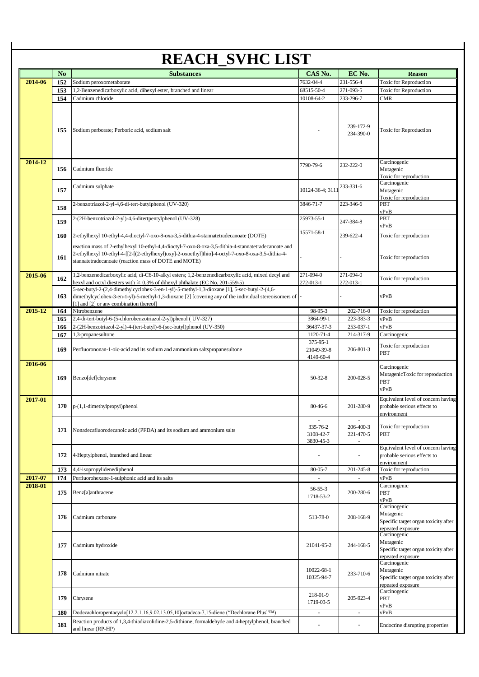|         | N <sub>o</sub> | <b>Substances</b>                                                                                                                                                                                                                                | CAS No.                             | EC No.                 | <b>Reason</b>                                                                          |
|---------|----------------|--------------------------------------------------------------------------------------------------------------------------------------------------------------------------------------------------------------------------------------------------|-------------------------------------|------------------------|----------------------------------------------------------------------------------------|
| 2014-06 | 152            | Sodium peroxometaborate                                                                                                                                                                                                                          | 7632-04-4                           | 231-556-4              | Toxic for Reproduction                                                                 |
|         | 153            | 1,2-Benzenedicarboxylic acid, dihexyl ester, branched and linear                                                                                                                                                                                 | 68515-50-4                          | 271-093-5              | Toxic for Reproduction                                                                 |
|         | 154            | Cadmium chloride                                                                                                                                                                                                                                 | 10108-64-2                          | 233-296-7              | CMR                                                                                    |
|         | 155            | Sodium perborate; Perboric acid, sodium salt                                                                                                                                                                                                     |                                     | 239-172-9<br>234-390-0 | <b>Toxic for Reproduction</b>                                                          |
| 2014-12 | 156            | Cadmium fluoride                                                                                                                                                                                                                                 | 7790-79-6                           | 232-222-0              | Carcinogenic<br>Mutagenic<br>Toxic for reproduction                                    |
|         | 157            | Cadmium sulphate                                                                                                                                                                                                                                 | 10124-36-4; 3111                    | 233-331-6              | Carcinogenic<br>Mutagenic<br>Toxic for reproduction                                    |
|         | 158            | 2-benzotriazol-2-yl-4,6-di-tert-butylphenol (UV-320)                                                                                                                                                                                             | 3846-71-7                           | 223-346-6              | PBT<br>vPvB                                                                            |
|         | 159            | 2-(2H-benzotriazol-2-yl)-4,6-ditertpentylphenol (UV-328)                                                                                                                                                                                         | 25973-55-1                          | 247-384-8              | PBT<br>vPvB                                                                            |
|         | 160            | 2-ethylhexyl 10-ethyl-4,4-dioctyl-7-oxo-8-oxa-3,5-dithia-4-stannatetradecanoate (DOTE)<br>reaction mass of 2-ethylhexyl 10-ethyl-4,4-dioctyl-7-oxo-8-oxa-3,5-dithia-4-stannatetradecanoate and                                                   | 15571-58-1                          | 239-622-4              | Toxic for reproduction                                                                 |
|         | 161            | 2-ethylhexyl 10-ethyl-4-[[2-[(2-ethylhexyl)oxy]-2-oxoethyl]thio]-4-octyl-7-oxo-8-oxa-3,5-dithia-4-<br>stannatetradecanoate (reaction mass of DOTE and MOTE)                                                                                      |                                     |                        | Toxic for reproduction                                                                 |
| 2015-06 | 162            | 1,2-benzenedicarboxylic acid, di-C6-10-alkyl esters; 1,2-benzenedicarboxylic acid, mixed decyl and<br>hexyl and octyl diesters with $\geq 0.3\%$ of dihexyl phthalate (EC No. 201-559-5)                                                         | 271-094-0<br>272-013-1              | 271-094-0<br>272-013-1 | Toxic for reproduction                                                                 |
|         | 163            | 5-sec-butyl-2-(2,4-dimethylcyclohex-3-en-1-yl)-5-methyl-1,3-dioxane [1], 5-sec-butyl-2-(4,6-<br>dimethylcyclohex-3-en-1-yl)-5-methyl-1,3-dioxane [2] [covering any of the individual stereoisomers of<br>[1] and [2] or any combination thereof] |                                     |                        | vPvB                                                                                   |
| 2015-12 | 164            | Nitrobenzene                                                                                                                                                                                                                                     | 98-95-3                             | 202-716-0              | Toxic for reproduction                                                                 |
|         | 165            | 2,4-di-tert-butyl-6-(5-chlorobenzotriazol-2-yl)phenol (UV-327)                                                                                                                                                                                   | 3864-99-1                           | 223-383-3              | vPvB                                                                                   |
|         | 166            | 2-(2H-benzotriazol-2-yl)-4-(tert-butyl)-6-(sec-butyl)phenol (UV-350)                                                                                                                                                                             | 36437-37-3                          | 253-037-1              | vPvB                                                                                   |
|         | 167            | 1,3-propanesultone                                                                                                                                                                                                                               | 1120-71-4                           | 214-317-9              | Carcinogenic                                                                           |
|         | 169            | Perfluorononan-1-oic-acid and its sodium and ammonium saltspropanesultone                                                                                                                                                                        | 375-95-1<br>21049-39-8<br>4149-60-4 | 206-801-3              | Toxic for reproduction<br>PBT                                                          |
| 2016-06 | 169            | Benzo[def]chrysene                                                                                                                                                                                                                               | $50-32-8$                           | 200-028-5              | Carcinogenic<br>MutagenicToxic for reproduction<br>PBT<br>vPvB                         |
| 2017-01 | 170            | p-(1,1-dimethylpropyl)phenol                                                                                                                                                                                                                     | 80-46-6                             | 201-280-9              | Equivalent level of concern having<br>probable serious effects to<br>environment       |
|         | 171            | Nonadecafluorodecanoic acid (PFDA) and its sodium and ammonium salts                                                                                                                                                                             | 335-76-2<br>3108-42-7<br>3830-45-3  | 206-400-3<br>221-470-5 | Toxic for reproduction<br>PBT                                                          |
|         | 172            | 4-Heptylphenol, branched and linear                                                                                                                                                                                                              |                                     |                        | Equivalent level of concern having<br>probable serious effects to<br>environment       |
|         | 173            | 4,4'-isopropylidenediphenol                                                                                                                                                                                                                      | 80-05-7                             | 201-245-8              | Toxic for reproduction                                                                 |
| 2017-07 | 174            | Perfluorohexane-1-sulphonic acid and its salts                                                                                                                                                                                                   |                                     |                        | vPvB                                                                                   |
| 2018-01 | 175            | Benz[a]anthracene                                                                                                                                                                                                                                | 56-55-3<br>1718-53-2                | 200-280-6              | Carcinogenic<br>PBT<br>vPvB                                                            |
|         | 176            | Cadmium carbonate                                                                                                                                                                                                                                | 513-78-0                            | 208-168-9              | Carcinogenic<br>Mutagenic<br>Specific target organ toxicity after<br>repeated exposure |
|         | 177            | Cadmium hydroxide                                                                                                                                                                                                                                | 21041-95-2                          | 244-168-5              | Carcinogenic<br>Mutagenic<br>Specific target organ toxicity after<br>repeated exposure |
|         | 178            | Cadmium nitrate                                                                                                                                                                                                                                  | 10022-68-1<br>10325-94-7            | 233-710-6              | Carcinogenic<br>Mutagenic<br>Specific target organ toxicity after<br>repeated exposure |
|         |                |                                                                                                                                                                                                                                                  | 218-01-9                            | 205-923-4              | Carcinogenic<br>PBT                                                                    |
|         | 179            | Chrysene                                                                                                                                                                                                                                         | 1719-03-5                           |                        |                                                                                        |
|         | 180            | Dodecachloropentacyclo[12.2.1.16,9.02,13.05,10]octadeca-7,15-diene ("Dechlorane Plus"TM)                                                                                                                                                         |                                     |                        | vPvB<br>vPvB                                                                           |
|         | 181            | Reaction products of 1,3,4-thiadiazolidine-2,5-dithione, formaldehyde and 4-heptylphenol, branched                                                                                                                                               |                                     |                        | Endocrine disrupting properties                                                        |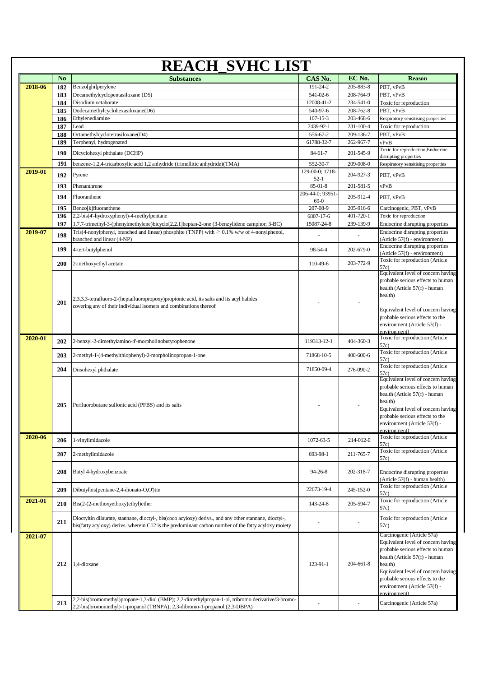| N <sub>0</sub><br><b>Substances</b><br>2018-06<br>182<br>Benzo[ghi]perylene<br>Decamethylcyclopentasiloxane (D5)<br>183<br>Disodium octaborate<br>184<br>Dodecamethylcyclohexasiloxane(D6)<br>185<br>Ethylenediamine<br>186<br>187<br>Lead<br>Octamethylcyclotetrasiloxane(D4)<br>188<br>Terphenyl, hydrogenated<br>189<br>190<br>Dicyclohexyl phthalate (DCHP)<br>benzene-1,2,4-tricarboxylic acid 1,2 anhydride (trimellitic anhydride)(TMA)<br>191<br>2019-01<br>192<br>Pyrene<br>Phenanthrene<br>193<br>194<br>Fluoranthene<br>Benzo[k]fluoranthene<br>195<br>2,2-bis(4'-hydroxyphenyl)-4-methylpentane<br>196<br>1,7,7-trimethyl-3-(phenylmethylene)bicyclo[2.2.1]heptan-2-one (3-benzylidene camphor; 3-BC)<br>197<br>Tris(4-nonylphenyl, branched and linear) phosphite (TNPP) with $\geq 0.1\%$ w/w of 4-nonylphenol,<br>2019-07<br>198<br>branched and linear (4-NP)<br>199<br>4-tert-butylphenol<br>2-methoxyethyl acetate<br><b>200</b><br>2,3,3,3-tetrafluoro-2-(heptafluoropropoxy)propionic acid, its salts and its acyl halides<br>201<br>covering any of their individual isomers and combinations thereof | CAS No.<br>EC No.<br><b>Reason</b><br>191-24-2<br>205-883-8<br>PBT, vPvB<br>541-02-6<br>208-764-9<br>PBT, vPvB<br>12008-41-2<br>234-541-0<br>Toxic for reproduction<br>208-762-8<br>540-97-6<br>PBT, vPvB<br>$107 - 15 - 3$<br>203-468-6<br>Respiratory sensitising properties<br>7439-92-1<br>231-100-4<br>Toxic for reproduction<br>556-67-2<br>209-136-7<br>PBT, vPvB<br>61788-32-7<br>262-967-7<br>vPvB<br>Toxic for reproduction, Endocrine<br>201-545-9<br>84-61-7<br>disrupting properties<br>552-30-7<br>209-008-0<br>Respiratory sensitising properties<br>129-00-0; 1718-<br>204-927-3<br>PBT, vPvB<br>$52-1$<br>201-581-5<br>85-01-8<br>vPvB<br>206-44-0; 93951-<br>205-912-4<br>PBT, vPvB<br>69-0<br>207-08-9<br>205-916-6<br>Carcinogenic, PBT, vPvB<br>401-720-1<br>6807-17-6<br>Toxic for reproduction<br>239-139-9<br>15087-24-8<br>Endocrine disrupting properties<br>Endocrine disrupting properties<br>(Article 57(f) - environment)<br>Endocrine disrupting properties<br>98-54-4<br>202-679-0<br>(Article 57(f) - environment)<br>Toxic for reproduction (Article<br>203-772-9<br>110-49-6<br>57c)<br>Equivalent level of concern having<br>probable serious effects to human |
|----------------------------------------------------------------------------------------------------------------------------------------------------------------------------------------------------------------------------------------------------------------------------------------------------------------------------------------------------------------------------------------------------------------------------------------------------------------------------------------------------------------------------------------------------------------------------------------------------------------------------------------------------------------------------------------------------------------------------------------------------------------------------------------------------------------------------------------------------------------------------------------------------------------------------------------------------------------------------------------------------------------------------------------------------------------------------------------------------------------------------|----------------------------------------------------------------------------------------------------------------------------------------------------------------------------------------------------------------------------------------------------------------------------------------------------------------------------------------------------------------------------------------------------------------------------------------------------------------------------------------------------------------------------------------------------------------------------------------------------------------------------------------------------------------------------------------------------------------------------------------------------------------------------------------------------------------------------------------------------------------------------------------------------------------------------------------------------------------------------------------------------------------------------------------------------------------------------------------------------------------------------------------------------------------------------------------------------|
|                                                                                                                                                                                                                                                                                                                                                                                                                                                                                                                                                                                                                                                                                                                                                                                                                                                                                                                                                                                                                                                                                                                            |                                                                                                                                                                                                                                                                                                                                                                                                                                                                                                                                                                                                                                                                                                                                                                                                                                                                                                                                                                                                                                                                                                                                                                                                    |
|                                                                                                                                                                                                                                                                                                                                                                                                                                                                                                                                                                                                                                                                                                                                                                                                                                                                                                                                                                                                                                                                                                                            |                                                                                                                                                                                                                                                                                                                                                                                                                                                                                                                                                                                                                                                                                                                                                                                                                                                                                                                                                                                                                                                                                                                                                                                                    |
|                                                                                                                                                                                                                                                                                                                                                                                                                                                                                                                                                                                                                                                                                                                                                                                                                                                                                                                                                                                                                                                                                                                            |                                                                                                                                                                                                                                                                                                                                                                                                                                                                                                                                                                                                                                                                                                                                                                                                                                                                                                                                                                                                                                                                                                                                                                                                    |
|                                                                                                                                                                                                                                                                                                                                                                                                                                                                                                                                                                                                                                                                                                                                                                                                                                                                                                                                                                                                                                                                                                                            |                                                                                                                                                                                                                                                                                                                                                                                                                                                                                                                                                                                                                                                                                                                                                                                                                                                                                                                                                                                                                                                                                                                                                                                                    |
|                                                                                                                                                                                                                                                                                                                                                                                                                                                                                                                                                                                                                                                                                                                                                                                                                                                                                                                                                                                                                                                                                                                            |                                                                                                                                                                                                                                                                                                                                                                                                                                                                                                                                                                                                                                                                                                                                                                                                                                                                                                                                                                                                                                                                                                                                                                                                    |
|                                                                                                                                                                                                                                                                                                                                                                                                                                                                                                                                                                                                                                                                                                                                                                                                                                                                                                                                                                                                                                                                                                                            |                                                                                                                                                                                                                                                                                                                                                                                                                                                                                                                                                                                                                                                                                                                                                                                                                                                                                                                                                                                                                                                                                                                                                                                                    |
|                                                                                                                                                                                                                                                                                                                                                                                                                                                                                                                                                                                                                                                                                                                                                                                                                                                                                                                                                                                                                                                                                                                            |                                                                                                                                                                                                                                                                                                                                                                                                                                                                                                                                                                                                                                                                                                                                                                                                                                                                                                                                                                                                                                                                                                                                                                                                    |
|                                                                                                                                                                                                                                                                                                                                                                                                                                                                                                                                                                                                                                                                                                                                                                                                                                                                                                                                                                                                                                                                                                                            |                                                                                                                                                                                                                                                                                                                                                                                                                                                                                                                                                                                                                                                                                                                                                                                                                                                                                                                                                                                                                                                                                                                                                                                                    |
|                                                                                                                                                                                                                                                                                                                                                                                                                                                                                                                                                                                                                                                                                                                                                                                                                                                                                                                                                                                                                                                                                                                            |                                                                                                                                                                                                                                                                                                                                                                                                                                                                                                                                                                                                                                                                                                                                                                                                                                                                                                                                                                                                                                                                                                                                                                                                    |
|                                                                                                                                                                                                                                                                                                                                                                                                                                                                                                                                                                                                                                                                                                                                                                                                                                                                                                                                                                                                                                                                                                                            |                                                                                                                                                                                                                                                                                                                                                                                                                                                                                                                                                                                                                                                                                                                                                                                                                                                                                                                                                                                                                                                                                                                                                                                                    |
|                                                                                                                                                                                                                                                                                                                                                                                                                                                                                                                                                                                                                                                                                                                                                                                                                                                                                                                                                                                                                                                                                                                            |                                                                                                                                                                                                                                                                                                                                                                                                                                                                                                                                                                                                                                                                                                                                                                                                                                                                                                                                                                                                                                                                                                                                                                                                    |
|                                                                                                                                                                                                                                                                                                                                                                                                                                                                                                                                                                                                                                                                                                                                                                                                                                                                                                                                                                                                                                                                                                                            |                                                                                                                                                                                                                                                                                                                                                                                                                                                                                                                                                                                                                                                                                                                                                                                                                                                                                                                                                                                                                                                                                                                                                                                                    |
|                                                                                                                                                                                                                                                                                                                                                                                                                                                                                                                                                                                                                                                                                                                                                                                                                                                                                                                                                                                                                                                                                                                            |                                                                                                                                                                                                                                                                                                                                                                                                                                                                                                                                                                                                                                                                                                                                                                                                                                                                                                                                                                                                                                                                                                                                                                                                    |
|                                                                                                                                                                                                                                                                                                                                                                                                                                                                                                                                                                                                                                                                                                                                                                                                                                                                                                                                                                                                                                                                                                                            |                                                                                                                                                                                                                                                                                                                                                                                                                                                                                                                                                                                                                                                                                                                                                                                                                                                                                                                                                                                                                                                                                                                                                                                                    |
|                                                                                                                                                                                                                                                                                                                                                                                                                                                                                                                                                                                                                                                                                                                                                                                                                                                                                                                                                                                                                                                                                                                            |                                                                                                                                                                                                                                                                                                                                                                                                                                                                                                                                                                                                                                                                                                                                                                                                                                                                                                                                                                                                                                                                                                                                                                                                    |
|                                                                                                                                                                                                                                                                                                                                                                                                                                                                                                                                                                                                                                                                                                                                                                                                                                                                                                                                                                                                                                                                                                                            |                                                                                                                                                                                                                                                                                                                                                                                                                                                                                                                                                                                                                                                                                                                                                                                                                                                                                                                                                                                                                                                                                                                                                                                                    |
|                                                                                                                                                                                                                                                                                                                                                                                                                                                                                                                                                                                                                                                                                                                                                                                                                                                                                                                                                                                                                                                                                                                            |                                                                                                                                                                                                                                                                                                                                                                                                                                                                                                                                                                                                                                                                                                                                                                                                                                                                                                                                                                                                                                                                                                                                                                                                    |
|                                                                                                                                                                                                                                                                                                                                                                                                                                                                                                                                                                                                                                                                                                                                                                                                                                                                                                                                                                                                                                                                                                                            |                                                                                                                                                                                                                                                                                                                                                                                                                                                                                                                                                                                                                                                                                                                                                                                                                                                                                                                                                                                                                                                                                                                                                                                                    |
|                                                                                                                                                                                                                                                                                                                                                                                                                                                                                                                                                                                                                                                                                                                                                                                                                                                                                                                                                                                                                                                                                                                            |                                                                                                                                                                                                                                                                                                                                                                                                                                                                                                                                                                                                                                                                                                                                                                                                                                                                                                                                                                                                                                                                                                                                                                                                    |
|                                                                                                                                                                                                                                                                                                                                                                                                                                                                                                                                                                                                                                                                                                                                                                                                                                                                                                                                                                                                                                                                                                                            |                                                                                                                                                                                                                                                                                                                                                                                                                                                                                                                                                                                                                                                                                                                                                                                                                                                                                                                                                                                                                                                                                                                                                                                                    |
|                                                                                                                                                                                                                                                                                                                                                                                                                                                                                                                                                                                                                                                                                                                                                                                                                                                                                                                                                                                                                                                                                                                            |                                                                                                                                                                                                                                                                                                                                                                                                                                                                                                                                                                                                                                                                                                                                                                                                                                                                                                                                                                                                                                                                                                                                                                                                    |
|                                                                                                                                                                                                                                                                                                                                                                                                                                                                                                                                                                                                                                                                                                                                                                                                                                                                                                                                                                                                                                                                                                                            | health (Article 57(f) - human<br>health)<br>Equivalent level of concern having<br>probable serious effects to the<br>environment (Article 57(f) -                                                                                                                                                                                                                                                                                                                                                                                                                                                                                                                                                                                                                                                                                                                                                                                                                                                                                                                                                                                                                                                  |
| 2020-01<br>202<br>2-benzyl-2-dimethylamino-4'-morpholinobutyrophenone                                                                                                                                                                                                                                                                                                                                                                                                                                                                                                                                                                                                                                                                                                                                                                                                                                                                                                                                                                                                                                                      | environment)<br>Toxic for reproduction (Article<br>404-360-3<br>119313-12-1<br>57c                                                                                                                                                                                                                                                                                                                                                                                                                                                                                                                                                                                                                                                                                                                                                                                                                                                                                                                                                                                                                                                                                                                 |
| 2-methyl-1-(4-methylthiophenyl)-2-morpholinopropan-1-one<br>203                                                                                                                                                                                                                                                                                                                                                                                                                                                                                                                                                                                                                                                                                                                                                                                                                                                                                                                                                                                                                                                            | Toxic for reproduction (Article<br>400-600-6<br>71868-10-5<br>57c)                                                                                                                                                                                                                                                                                                                                                                                                                                                                                                                                                                                                                                                                                                                                                                                                                                                                                                                                                                                                                                                                                                                                 |
| 204<br>Diisohexyl phthalate                                                                                                                                                                                                                                                                                                                                                                                                                                                                                                                                                                                                                                                                                                                                                                                                                                                                                                                                                                                                                                                                                                | Toxic for reproduction (Article<br>71850-09-4<br>276-090-2<br>57c                                                                                                                                                                                                                                                                                                                                                                                                                                                                                                                                                                                                                                                                                                                                                                                                                                                                                                                                                                                                                                                                                                                                  |
| Perfluorobutane sulfonic acid (PFBS) and its salts<br>205                                                                                                                                                                                                                                                                                                                                                                                                                                                                                                                                                                                                                                                                                                                                                                                                                                                                                                                                                                                                                                                                  | Equivalent level of concern having<br>probable serious effects to human<br>health (Article 57(f) - human<br>health)<br>Equivalent level of concern having<br>probable serious effects to the<br>environment (Article 57(f) -<br>environment)                                                                                                                                                                                                                                                                                                                                                                                                                                                                                                                                                                                                                                                                                                                                                                                                                                                                                                                                                       |
| 2020-06<br>l-vinylimidazole<br>206                                                                                                                                                                                                                                                                                                                                                                                                                                                                                                                                                                                                                                                                                                                                                                                                                                                                                                                                                                                                                                                                                         | Toxic for reproduction (Article<br>214-012-0<br>1072-63-5<br>57c)                                                                                                                                                                                                                                                                                                                                                                                                                                                                                                                                                                                                                                                                                                                                                                                                                                                                                                                                                                                                                                                                                                                                  |
| 2-methylimidazole<br>207                                                                                                                                                                                                                                                                                                                                                                                                                                                                                                                                                                                                                                                                                                                                                                                                                                                                                                                                                                                                                                                                                                   | Toxic for reproduction (Article<br>693-98-1<br>211-765-7<br>57c)                                                                                                                                                                                                                                                                                                                                                                                                                                                                                                                                                                                                                                                                                                                                                                                                                                                                                                                                                                                                                                                                                                                                   |
| Butyl 4-hydroxybenzoate<br>208                                                                                                                                                                                                                                                                                                                                                                                                                                                                                                                                                                                                                                                                                                                                                                                                                                                                                                                                                                                                                                                                                             | $94 - 26 - 8$<br>202-318-7<br>Endocrine disrupting properties<br>(Article 57(f) - human health)                                                                                                                                                                                                                                                                                                                                                                                                                                                                                                                                                                                                                                                                                                                                                                                                                                                                                                                                                                                                                                                                                                    |
| Dibutylbis(pentane-2,4-dionato-O,O')tin<br>209                                                                                                                                                                                                                                                                                                                                                                                                                                                                                                                                                                                                                                                                                                                                                                                                                                                                                                                                                                                                                                                                             | Toxic for reproduction (Article<br>245-152-0<br>22673-19-4<br>57c)                                                                                                                                                                                                                                                                                                                                                                                                                                                                                                                                                                                                                                                                                                                                                                                                                                                                                                                                                                                                                                                                                                                                 |
| 2021-01<br>210<br>Bis(2-(2-methoxyethoxy)ethyl)ether                                                                                                                                                                                                                                                                                                                                                                                                                                                                                                                                                                                                                                                                                                                                                                                                                                                                                                                                                                                                                                                                       | Toxic for reproduction (Article<br>205-594-7<br>143-24-8<br>57c)                                                                                                                                                                                                                                                                                                                                                                                                                                                                                                                                                                                                                                                                                                                                                                                                                                                                                                                                                                                                                                                                                                                                   |
| Dioctyltin dilaurate, stannane, dioctyl-, bis(coco acyloxy) derivs., and any other stannane, dioctyl-,<br>211<br>bis(fatty acyloxy) derivs. wherein C12 is the predominant carbon number of the fatty acyloxy moiety                                                                                                                                                                                                                                                                                                                                                                                                                                                                                                                                                                                                                                                                                                                                                                                                                                                                                                       | Toxic for reproduction (Article<br>57c)                                                                                                                                                                                                                                                                                                                                                                                                                                                                                                                                                                                                                                                                                                                                                                                                                                                                                                                                                                                                                                                                                                                                                            |
| 2021-07                                                                                                                                                                                                                                                                                                                                                                                                                                                                                                                                                                                                                                                                                                                                                                                                                                                                                                                                                                                                                                                                                                                    | Carcinogenic (Article 57a)<br>Equivalent level of concern having<br>probable serious effects to human<br>health (Article 57(f) - human                                                                                                                                                                                                                                                                                                                                                                                                                                                                                                                                                                                                                                                                                                                                                                                                                                                                                                                                                                                                                                                             |
| 212<br>1,4-dioxane                                                                                                                                                                                                                                                                                                                                                                                                                                                                                                                                                                                                                                                                                                                                                                                                                                                                                                                                                                                                                                                                                                         | 123-91-1<br>204-661-8<br>health)<br>Equivalent level of concern having<br>probable serious effects to the<br>environment (Article 57(f) -<br>environment)                                                                                                                                                                                                                                                                                                                                                                                                                                                                                                                                                                                                                                                                                                                                                                                                                                                                                                                                                                                                                                          |